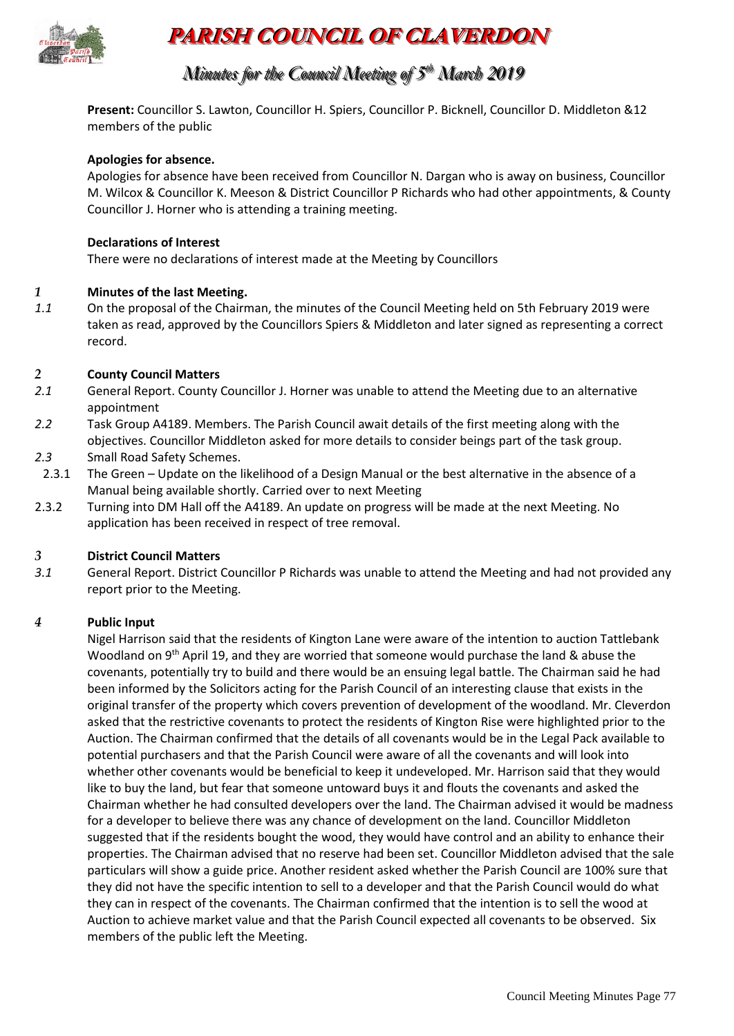

# **PARISH COUNCIL OF CLAVERDON**

# *Minutes for the Council Meeting of 5 t thh March 2019*

**Present:** Councillor S. Lawton, Councillor H. Spiers, Councillor P. Bicknell, Councillor D. Middleton &12 members of the public

#### **Apologies for absence.**

Apologies for absence have been received from Councillor N. Dargan who is away on business, Councillor M. Wilcox & Councillor K. Meeson & District Councillor P Richards who had other appointments, & County Councillor J. Horner who is attending a training meeting.

#### **Declarations of Interest**

There were no declarations of interest made at the Meeting by Councillors

#### *1* **Minutes of the last Meeting.**

*1.1* On the proposal of the Chairman, the minutes of the Council Meeting held on 5th February 2019 were taken as read, approved by the Councillors Spiers & Middleton and later signed as representing a correct record.

#### *2* **County Council Matters**

- *2.1* General Report. County Councillor J. Horner was unable to attend the Meeting due to an alternative appointment
- *2.2* Task Group A4189. Members. The Parish Council await details of the first meeting along with the objectives. Councillor Middleton asked for more details to consider beings part of the task group.
- *2.3* Small Road Safety Schemes.
- 2.3.1 The Green Update on the likelihood of a Design Manual or the best alternative in the absence of a Manual being available shortly. Carried over to next Meeting
- 2.3.2 Turning into DM Hall off the A4189. An update on progress will be made at the next Meeting. No application has been received in respect of tree removal.

#### *3* **District Council Matters**

*3.1* General Report. District Councillor P Richards was unable to attend the Meeting and had not provided any report prior to the Meeting.

#### *4* **Public Input**

Nigel Harrison said that the residents of Kington Lane were aware of the intention to auction Tattlebank Woodland on 9<sup>th</sup> April 19, and they are worried that someone would purchase the land & abuse the covenants, potentially try to build and there would be an ensuing legal battle. The Chairman said he had been informed by the Solicitors acting for the Parish Council of an interesting clause that exists in the original transfer of the property which covers prevention of development of the woodland. Mr. Cleverdon asked that the restrictive covenants to protect the residents of Kington Rise were highlighted prior to the Auction. The Chairman confirmed that the details of all covenants would be in the Legal Pack available to potential purchasers and that the Parish Council were aware of all the covenants and will look into whether other covenants would be beneficial to keep it undeveloped. Mr. Harrison said that they would like to buy the land, but fear that someone untoward buys it and flouts the covenants and asked the Chairman whether he had consulted developers over the land. The Chairman advised it would be madness for a developer to believe there was any chance of development on the land. Councillor Middleton suggested that if the residents bought the wood, they would have control and an ability to enhance their properties. The Chairman advised that no reserve had been set. Councillor Middleton advised that the sale particulars will show a guide price. Another resident asked whether the Parish Council are 100% sure that they did not have the specific intention to sell to a developer and that the Parish Council would do what they can in respect of the covenants. The Chairman confirmed that the intention is to sell the wood at Auction to achieve market value and that the Parish Council expected all covenants to be observed. Six members of the public left the Meeting.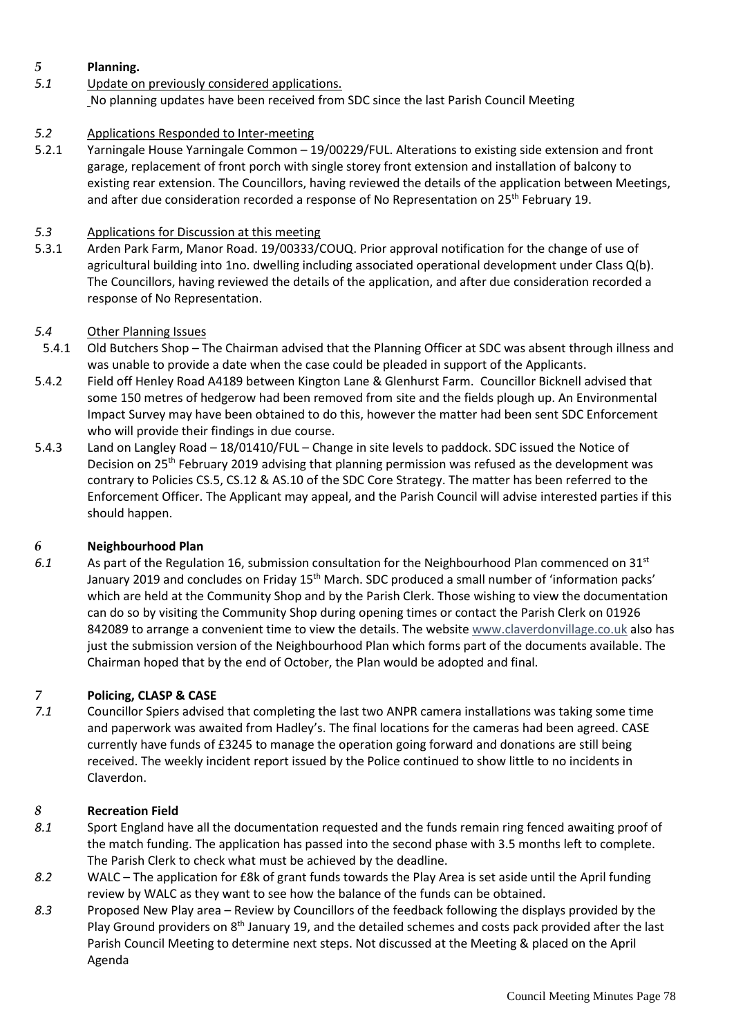# *5* **Planning.**

*5.1* Update on previously considered applications. No planning updates have been received from SDC since the last Parish Council Meeting

# *5.2* Applications Responded to Inter-meeting

5.2.1 Yarningale House Yarningale Common – 19/00229/FUL. Alterations to existing side extension and front garage, replacement of front porch with single storey front extension and installation of balcony to existing rear extension. The Councillors, having reviewed the details of the application between Meetings, and after due consideration recorded a response of No Representation on  $25<sup>th</sup>$  February 19.

# *5.3* Applications for Discussion at this meeting

5.3.1 Arden Park Farm, Manor Road. 19/00333/COUQ. Prior approval notification for the change of use of agricultural building into 1no. dwelling including associated operational development under Class Q(b). The Councillors, having reviewed the details of the application, and after due consideration recorded a response of No Representation.

# *5.4* Other Planning Issues

- 5.4.1 Old Butchers Shop The Chairman advised that the Planning Officer at SDC was absent through illness and was unable to provide a date when the case could be pleaded in support of the Applicants.
- 5.4.2 Field off Henley Road A4189 between Kington Lane & Glenhurst Farm. Councillor Bicknell advised that some 150 metres of hedgerow had been removed from site and the fields plough up. An Environmental Impact Survey may have been obtained to do this, however the matter had been sent SDC Enforcement who will provide their findings in due course.
- 5.4.3 Land on Langley Road 18/01410/FUL Change in site levels to paddock. SDC issued the Notice of Decision on 25<sup>th</sup> February 2019 advising that planning permission was refused as the development was contrary to Policies CS.5, CS.12 & AS.10 of the SDC Core Strategy. The matter has been referred to the Enforcement Officer. The Applicant may appeal, and the Parish Council will advise interested parties if this should happen.

# *6* **Neighbourhood Plan**

*6.1* As part of the Regulation 16, submission consultation for the Neighbourhood Plan commenced on 31st January 2019 and concludes on Friday 15<sup>th</sup> March. SDC produced a small number of 'information packs' which are held at the Community Shop and by the Parish Clerk. Those wishing to view the documentation can do so by visiting the Community Shop during opening times or contact the Parish Clerk on 01926 842089 to arrange a convenient time to view the details. The website www.claverdonvillage.co.uk also has just the submission version of the Neighbourhood Plan which forms part of the documents available. The Chairman hoped that by the end of October, the Plan would be adopted and final.

# *7* **Policing, CLASP & CASE**

*7.1* Councillor Spiers advised that completing the last two ANPR camera installations was taking some time and paperwork was awaited from Hadley's. The final locations for the cameras had been agreed. CASE currently have funds of £3245 to manage the operation going forward and donations are still being received. The weekly incident report issued by the Police continued to show little to no incidents in Claverdon.

# *8* **Recreation Field**

- *8.1* Sport England have all the documentation requested and the funds remain ring fenced awaiting proof of the match funding. The application has passed into the second phase with 3.5 months left to complete. The Parish Clerk to check what must be achieved by the deadline.
- *8.2* WALC The application for £8k of grant funds towards the Play Area is set aside until the April funding review by WALC as they want to see how the balance of the funds can be obtained.
- *8.3* Proposed New Play area Review by Councillors of the feedback following the displays provided by the Play Ground providers on  $8<sup>th</sup>$  January 19, and the detailed schemes and costs pack provided after the last Parish Council Meeting to determine next steps. Not discussed at the Meeting & placed on the April Agenda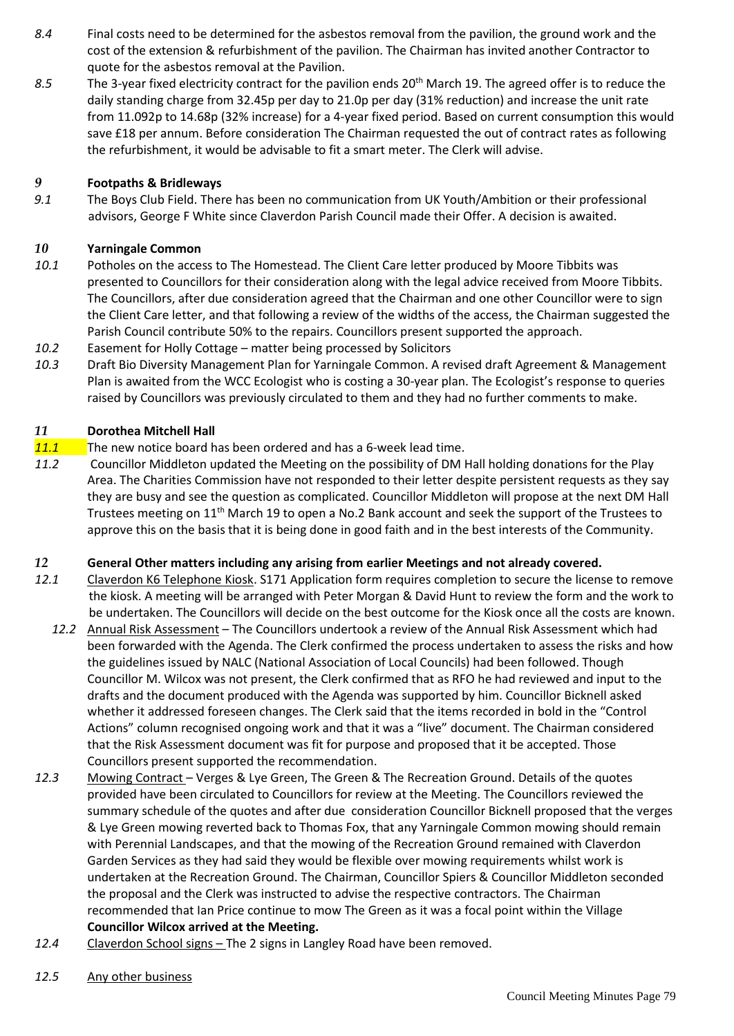- *8.4* Final costs need to be determined for the asbestos removal from the pavilion, the ground work and the cost of the extension & refurbishment of the pavilion. The Chairman has invited another Contractor to quote for the asbestos removal at the Pavilion.
- *8.5* The 3-year fixed electricity contract for the pavilion ends 20th March 19. The agreed offer is to reduce the daily standing charge from 32.45p per day to 21.0p per day (31% reduction) and increase the unit rate from 11.092p to 14.68p (32% increase) for a 4-year fixed period. Based on current consumption this would save £18 per annum. Before consideration The Chairman requested the out of contract rates as following the refurbishment, it would be advisable to fit a smart meter. The Clerk will advise.

# *9* **Footpaths & Bridleways**

*9.1* The Boys Club Field. There has been no communication from UK Youth/Ambition or their professional advisors, George F White since Claverdon Parish Council made their Offer. A decision is awaited.

#### *10* **Yarningale Common**

- *10.1* Potholes on the access to The Homestead. The Client Care letter produced by Moore Tibbits was presented to Councillors for their consideration along with the legal advice received from Moore Tibbits. The Councillors, after due consideration agreed that the Chairman and one other Councillor were to sign the Client Care letter, and that following a review of the widths of the access, the Chairman suggested the Parish Council contribute 50% to the repairs. Councillors present supported the approach.
- *10.2* Easement for Holly Cottage matter being processed by Solicitors
- *10.3* Draft Bio Diversity Management Plan for Yarningale Common. A revised draft Agreement & Management Plan is awaited from the WCC Ecologist who is costing a 30-year plan. The Ecologist's response to queries raised by Councillors was previously circulated to them and they had no further comments to make.

#### *11* **Dorothea Mitchell Hall**

- *11.1* The new notice board has been ordered and has a 6-week lead time.
- *11.2* Councillor Middleton updated the Meeting on the possibility of DM Hall holding donations for the Play Area. The Charities Commission have not responded to their letter despite persistent requests as they say they are busy and see the question as complicated. Councillor Middleton will propose at the next DM Hall Trustees meeting on 11<sup>th</sup> March 19 to open a No.2 Bank account and seek the support of the Trustees to approve this on the basis that it is being done in good faith and in the best interests of the Community.

#### *12* **General Other matters including any arising from earlier Meetings and not already covered.**

- *12.1* Claverdon K6 Telephone Kiosk. S171 Application form requires completion to secure the license to remove the kiosk. A meeting will be arranged with Peter Morgan & David Hunt to review the form and the work to be undertaken. The Councillors will decide on the best outcome for the Kiosk once all the costs are known.
	- *12.2* Annual Risk Assessment The Councillors undertook a review of the Annual Risk Assessment which had been forwarded with the Agenda. The Clerk confirmed the process undertaken to assess the risks and how the guidelines issued by NALC (National Association of Local Councils) had been followed. Though Councillor M. Wilcox was not present, the Clerk confirmed that as RFO he had reviewed and input to the drafts and the document produced with the Agenda was supported by him. Councillor Bicknell asked whether it addressed foreseen changes. The Clerk said that the items recorded in bold in the "Control Actions" column recognised ongoing work and that it was a "live" document. The Chairman considered that the Risk Assessment document was fit for purpose and proposed that it be accepted. Those Councillors present supported the recommendation.
- *12.3* Mowing Contract Verges & Lye Green, The Green & The Recreation Ground. Details of the quotes provided have been circulated to Councillors for review at the Meeting. The Councillors reviewed the summary schedule of the quotes and after due consideration Councillor Bicknell proposed that the verges & Lye Green mowing reverted back to Thomas Fox, that any Yarningale Common mowing should remain with Perennial Landscapes, and that the mowing of the Recreation Ground remained with Claverdon Garden Services as they had said they would be flexible over mowing requirements whilst work is undertaken at the Recreation Ground. The Chairman, Councillor Spiers & Councillor Middleton seconded the proposal and the Clerk was instructed to advise the respective contractors. The Chairman recommended that Ian Price continue to mow The Green as it was a focal point within the Village **Councillor Wilcox arrived at the Meeting.**
- *12.4* Claverdon School signs The 2 signs in Langley Road have been removed.
- *12.5* Any other business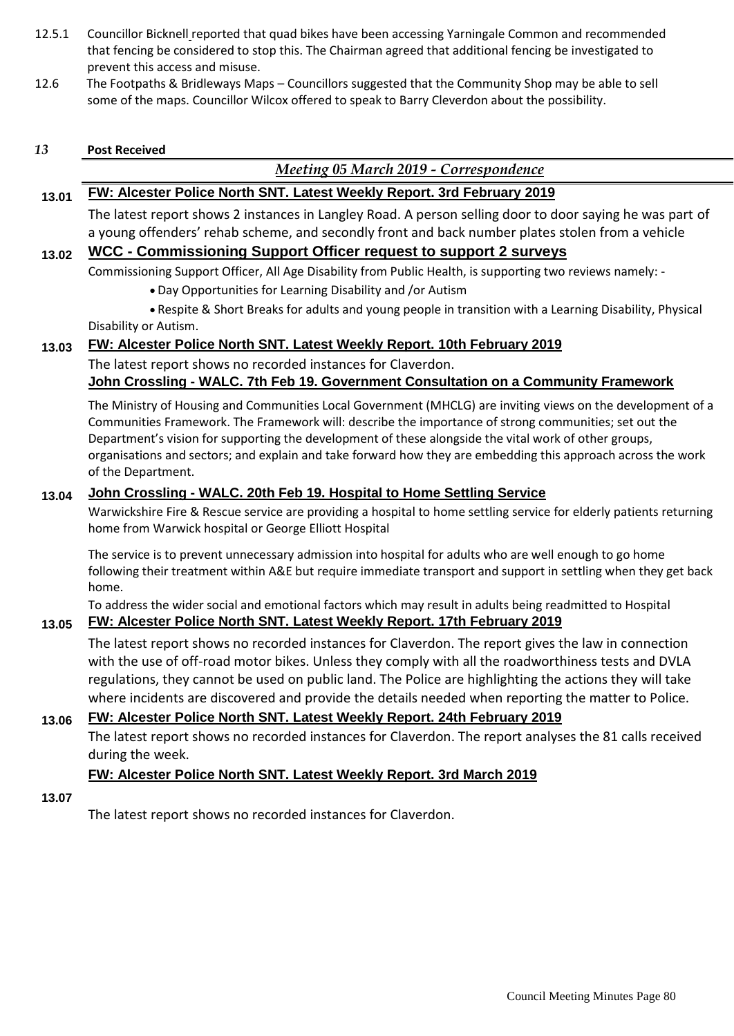- 12.5.1 Councillor Bicknell reported that quad bikes have been accessing Yarningale Common and recommended that fencing be considered to stop this. The Chairman agreed that additional fencing be investigated to prevent this access and misuse.
- 12.6 The Footpaths & Bridleways Maps Councillors suggested that the Community Shop may be able to sell some of the maps. Councillor Wilcox offered to speak to Barry Cleverdon about the possibility.

#### *13* **Post Received**

# *Meeting 05 March 2019 - Correspondence*

### **13.01 FW: Alcester Police North SNT. Latest Weekly Report. 3rd February 2019**

The latest report shows 2 instances in Langley Road. A person selling door to door saying he was part of a young offenders' rehab scheme, and secondly front and back number plates stolen from a vehicle

# **13.02 WCC - Commissioning Support Officer request to support 2 surveys**

Commissioning Support Officer, All Age Disability from Public Health, is supporting two reviews namely: -

- Day Opportunities for Learning Disability and /or Autism
- Respite & Short Breaks for adults and young people in transition with a Learning Disability, Physical Disability or Autism.

# **13.03 FW: Alcester Police North SNT. Latest Weekly Report. 10th February 2019**

The latest report shows no recorded instances for Claverdon.

# **John Crossling - WALC. 7th Feb 19. Government Consultation on a Community Framework**

The Ministry of Housing and Communities Local Government (MHCLG) are inviting views on the development of a Communities Framework. The Framework will: describe the importance of strong communities; set out the Department's vision for supporting the development of these alongside the vital work of other groups, organisations and sectors; and explain and take forward how they are embedding this approach across the work of the Department.

# **13.04 John Crossling - WALC. 20th Feb 19. Hospital to Home Settling Service**

Warwickshire Fire & Rescue service are providing a hospital to home settling service for elderly patients returning home from Warwick hospital or George Elliott Hospital

The service is to prevent unnecessary admission into hospital for adults who are well enough to go home following their treatment within A&E but require immediate transport and support in settling when they get back home.

To address the wider social and emotional factors which may result in adults being readmitted to Hospital **13.05 FW: Alcester Police North SNT. Latest Weekly Report. 17th February 2019**

The latest report shows no recorded instances for Claverdon. The report gives the law in connection with the use of off-road motor bikes. Unless they comply with all the roadworthiness tests and DVLA regulations, they cannot be used on public land. The Police are highlighting the actions they will take where incidents are discovered and provide the details needed when reporting the matter to Police.

# **13.06 FW: Alcester Police North SNT. Latest Weekly Report. 24th February 2019**

The latest report shows no recorded instances for Claverdon. The report analyses the 81 calls received during the week.

# **FW: Alcester Police North SNT. Latest Weekly Report. 3rd March 2019**

**13.07**

The latest report shows no recorded instances for Claverdon.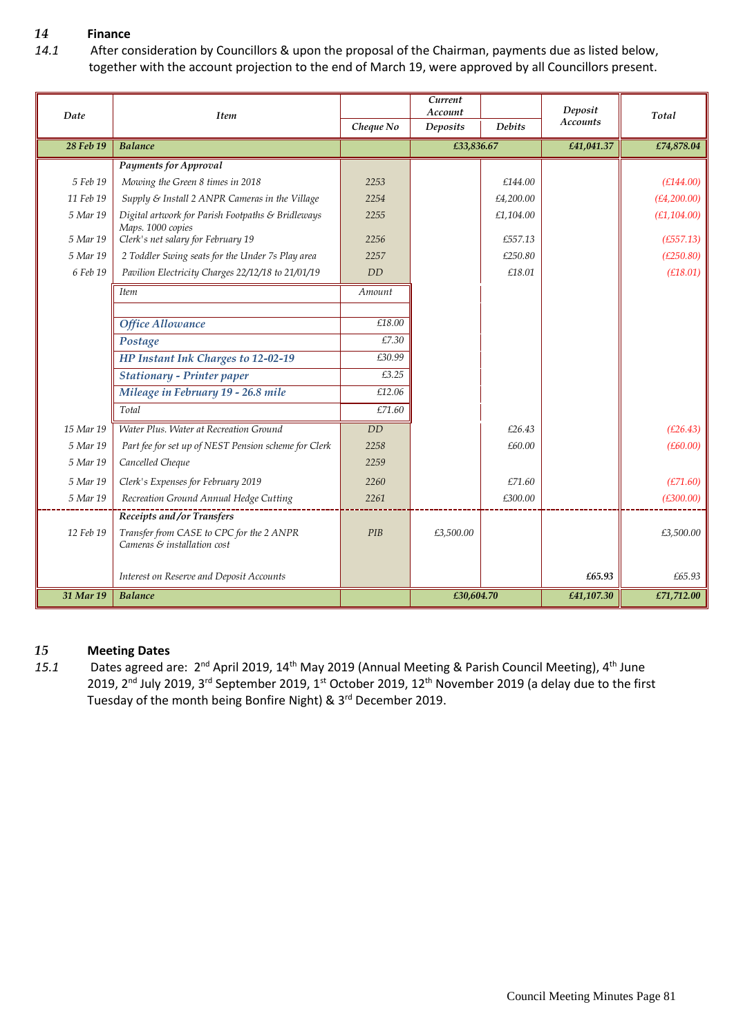# *14* **Finance**

*14.1* After consideration by Councillors & upon the proposal of the Chairman, payments due as listed below, together with the account projection to the end of March 19, were approved by all Councillors present.

| Date      | <b>Item</b>                                                             |           | Current<br>Account |               | Deposit         | Total        |  |
|-----------|-------------------------------------------------------------------------|-----------|--------------------|---------------|-----------------|--------------|--|
|           |                                                                         | Cheque No | <b>Deposits</b>    | <b>Debits</b> | <b>Accounts</b> |              |  |
| 28 Feb 19 | <b>Balance</b>                                                          |           | £33,836.67         |               | £41,041.37      | £74,878.04   |  |
|           | <b>Payments for Approval</b>                                            |           |                    |               |                 |              |  |
| 5 Feb 19  | Mowing the Green 8 times in 2018                                        | 2253      |                    | £144.00       |                 | (E144.00)    |  |
| 11 Feb 19 | Supply & Install 2 ANPR Cameras in the Village                          | 2254      |                    | £4,200.00     |                 | (E4, 200.00) |  |
| 5 Mar 19  | Digital artwork for Parish Footpaths & Bridleways<br>Maps. 1000 copies  | 2255      |                    | £1,104.00     |                 | (E1, 104.00) |  |
| 5 Mar 19  | Clerk's net salary for February 19                                      | 2256      |                    | £557.13       |                 | (E557.13)    |  |
| 5 Mar 19  | 2 Toddler Swing seats for the Under 7s Play area                        | 2257      |                    | £250.80       |                 | (E250.80)    |  |
| 6 Feb 19  | Pavilion Electricity Charges 22/12/18 to 21/01/19                       | <b>DD</b> |                    | £18.01        |                 | (E18.01)     |  |
|           | <i>Item</i>                                                             | Amount    |                    |               |                 |              |  |
|           |                                                                         |           |                    |               |                 |              |  |
|           | <b>Office Allowance</b>                                                 | £18.00    |                    |               |                 |              |  |
|           | Postage                                                                 | £7.30     |                    |               |                 |              |  |
|           | HP Instant Ink Charges to 12-02-19                                      | £30.99    |                    |               |                 |              |  |
|           | <b>Stationary - Printer paper</b>                                       | £3.25     |                    |               |                 |              |  |
|           | Mileage in February 19 - 26.8 mile                                      | £12.06    |                    |               |                 |              |  |
|           | Total                                                                   | £71.60    |                    |               |                 |              |  |
| 15 Mar 19 | Water Plus. Water at Recreation Ground                                  | <b>DD</b> |                    | £26.43        |                 | (E26.43)     |  |
| 5 Mar 19  | Part fee for set up of NEST Pension scheme for Clerk                    | 2258      |                    | £60.00        |                 | (E60.00)     |  |
| 5 Mar 19  | Cancelled Cheque                                                        | 2259      |                    |               |                 |              |  |
| 5 Mar 19  | Clerk's Expenses for February 2019                                      | 2260      |                    | £71.60        |                 | (E71.60)     |  |
| 5 Mar 19  | Recreation Ground Annual Hedge Cutting                                  | 2261      |                    | £300.00       |                 | (E300.00)    |  |
|           | Receipts and/or Transfers                                               |           |                    |               |                 |              |  |
| 12 Feb 19 | Transfer from CASE to CPC for the 2 ANPR<br>Cameras & installation cost | PIB       | £3,500.00          |               |                 | £3,500.00    |  |
|           | Interest on Reserve and Deposit Accounts                                |           |                    |               | £65.93          | £65.93       |  |
| 31 Mar 19 | <b>Balance</b>                                                          |           | £30,604.70         |               | £41,107.30      | £71,712.00   |  |

#### *15* **Meeting Dates**

15.1 Dates agreed are: 2<sup>nd</sup> April 2019, 14<sup>th</sup> May 2019 (Annual Meeting & Parish Council Meeting), 4<sup>th</sup> June 2019, 2nd July 2019, 3rd September 2019, 1st October 2019, 12th November 2019 (a delay due to the first Tuesday of the month being Bonfire Night) & 3<sup>rd</sup> December 2019.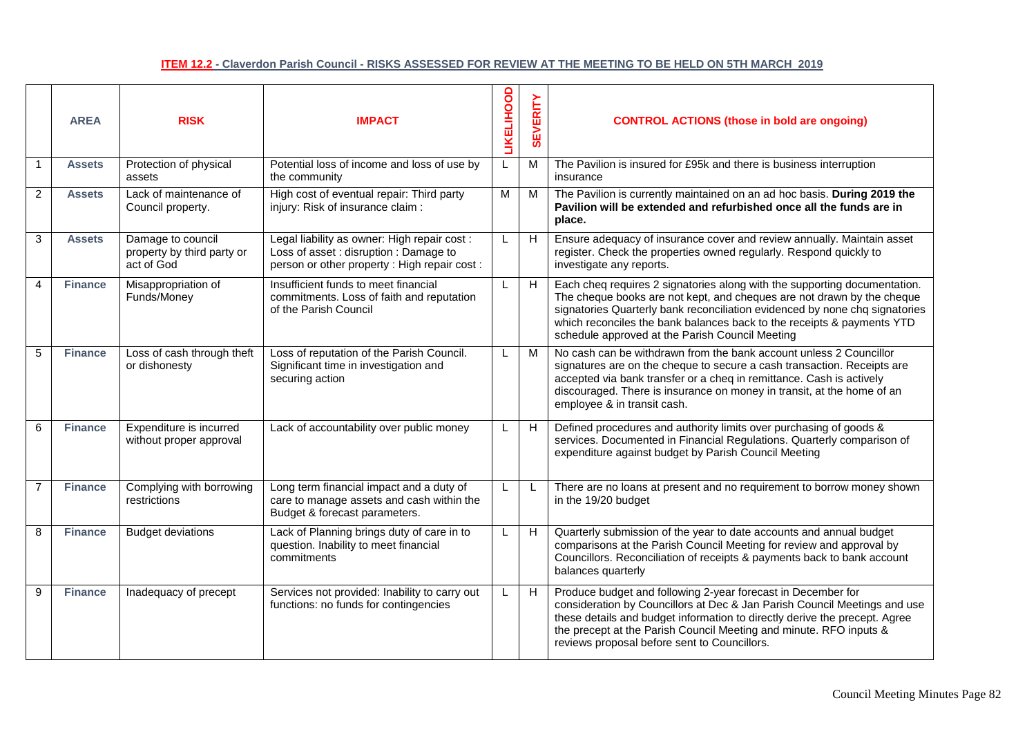#### **ITEM 12.2 - Claverdon Parish Council - RISKS ASSESSED FOR REVIEW AT THE MEETING TO BE HELD ON 5TH MARCH 2019**

|                | <b>AREA</b>    | <b>RISK</b>                                                   | <b>IMPACT</b>                                                                                                                         | <b>LIKELIHOOD</b> | <b>SEVERITY</b> | <b>CONTROL ACTIONS (those in bold are ongoing)</b>                                                                                                                                                                                                                                                                                                              |
|----------------|----------------|---------------------------------------------------------------|---------------------------------------------------------------------------------------------------------------------------------------|-------------------|-----------------|-----------------------------------------------------------------------------------------------------------------------------------------------------------------------------------------------------------------------------------------------------------------------------------------------------------------------------------------------------------------|
| $\mathbf{1}$   | <b>Assets</b>  | Protection of physical<br>assets                              | Potential loss of income and loss of use by<br>the community                                                                          | L                 | M               | The Pavilion is insured for £95k and there is business interruption<br>insurance                                                                                                                                                                                                                                                                                |
| 2              | <b>Assets</b>  | Lack of maintenance of<br>Council property.                   | High cost of eventual repair: Third party<br>injury: Risk of insurance claim :                                                        | M                 | М               | The Pavilion is currently maintained on an ad hoc basis. During 2019 the<br>Pavilion will be extended and refurbished once all the funds are in<br>place.                                                                                                                                                                                                       |
| 3              | <b>Assets</b>  | Damage to council<br>property by third party or<br>act of God | Legal liability as owner: High repair cost :<br>Loss of asset : disruption : Damage to<br>person or other property: High repair cost: | L                 | H               | Ensure adequacy of insurance cover and review annually. Maintain asset<br>register. Check the properties owned regularly. Respond quickly to<br>investigate any reports.                                                                                                                                                                                        |
| $\overline{4}$ | <b>Finance</b> | Misappropriation of<br>Funds/Money                            | Insufficient funds to meet financial<br>commitments. Loss of faith and reputation<br>of the Parish Council                            | L                 | H               | Each cheq requires 2 signatories along with the supporting documentation.<br>The cheque books are not kept, and cheques are not drawn by the cheque<br>signatories Quarterly bank reconciliation evidenced by none chq signatories<br>which reconciles the bank balances back to the receipts & payments YTD<br>schedule approved at the Parish Council Meeting |
| 5              | <b>Finance</b> | Loss of cash through theft<br>or dishonesty                   | Loss of reputation of the Parish Council.<br>Significant time in investigation and<br>securing action                                 | L                 | M               | No cash can be withdrawn from the bank account unless 2 Councillor<br>signatures are on the cheque to secure a cash transaction. Receipts are<br>accepted via bank transfer or a cheq in remittance. Cash is actively<br>discouraged. There is insurance on money in transit, at the home of an<br>employee & in transit cash.                                  |
| 6              | <b>Finance</b> | Expenditure is incurred<br>without proper approval            | Lack of accountability over public money                                                                                              | L                 | H               | Defined procedures and authority limits over purchasing of goods &<br>services. Documented in Financial Regulations. Quarterly comparison of<br>expenditure against budget by Parish Council Meeting                                                                                                                                                            |
| $\overline{7}$ | <b>Finance</b> | Complying with borrowing<br>restrictions                      | Long term financial impact and a duty of<br>care to manage assets and cash within the<br>Budget & forecast parameters.                | L                 |                 | There are no loans at present and no requirement to borrow money shown<br>in the 19/20 budget                                                                                                                                                                                                                                                                   |
| 8              | <b>Finance</b> | <b>Budget deviations</b>                                      | Lack of Planning brings duty of care in to<br>question. Inability to meet financial<br>commitments                                    |                   | H               | Quarterly submission of the year to date accounts and annual budget<br>comparisons at the Parish Council Meeting for review and approval by<br>Councillors. Reconciliation of receipts & payments back to bank account<br>balances quarterly                                                                                                                    |
| 9              | <b>Finance</b> | Inadequacy of precept                                         | Services not provided: Inability to carry out<br>functions: no funds for contingencies                                                | L                 | H               | Produce budget and following 2-year forecast in December for<br>consideration by Councillors at Dec & Jan Parish Council Meetings and use<br>these details and budget information to directly derive the precept. Agree<br>the precept at the Parish Council Meeting and minute. RFO inputs &<br>reviews proposal before sent to Councillors.                   |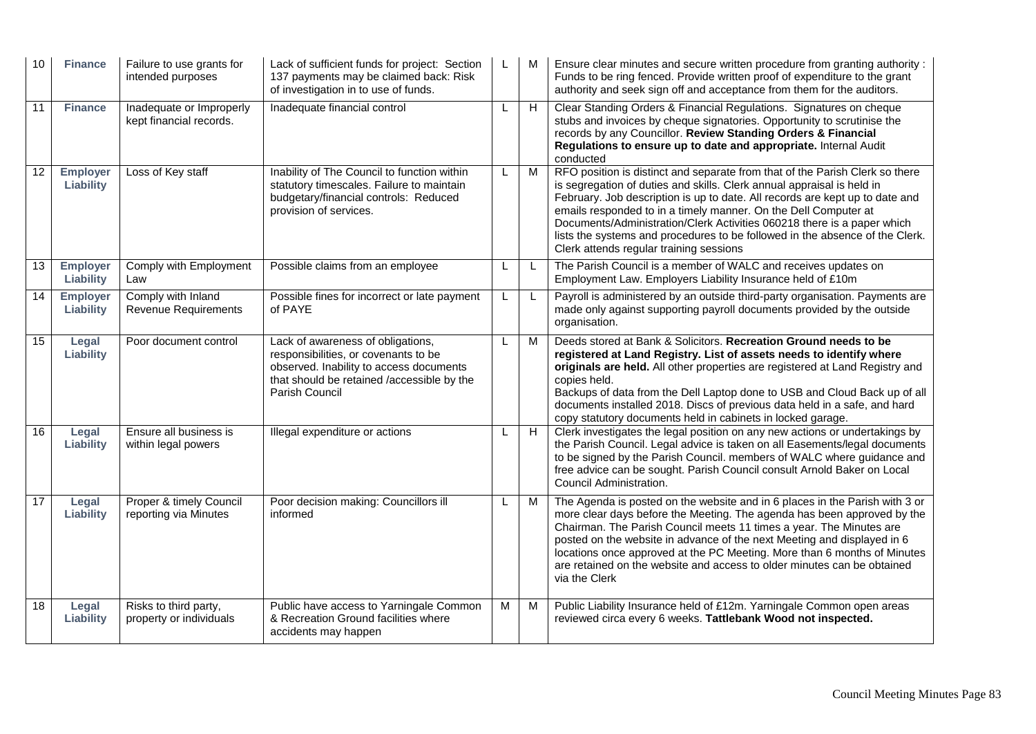| 10              | <b>Finance</b>               | Failure to use grants for<br>intended purposes      | Lack of sufficient funds for project: Section<br>137 payments may be claimed back: Risk<br>of investigation in to use of funds.                                                      |   |   | Ensure clear minutes and secure written procedure from granting authority :<br>Funds to be ring fenced. Provide written proof of expenditure to the grant<br>authority and seek sign off and acceptance from them for the auditors.                                                                                                                                                                                                                                                                             |
|-----------------|------------------------------|-----------------------------------------------------|--------------------------------------------------------------------------------------------------------------------------------------------------------------------------------------|---|---|-----------------------------------------------------------------------------------------------------------------------------------------------------------------------------------------------------------------------------------------------------------------------------------------------------------------------------------------------------------------------------------------------------------------------------------------------------------------------------------------------------------------|
| 11              | <b>Finance</b>               | Inadequate or Improperly<br>kept financial records. | Inadequate financial control                                                                                                                                                         |   | H | Clear Standing Orders & Financial Regulations. Signatures on cheque<br>stubs and invoices by cheque signatories. Opportunity to scrutinise the<br>records by any Councillor. Review Standing Orders & Financial<br>Regulations to ensure up to date and appropriate. Internal Audit<br>conducted                                                                                                                                                                                                                |
| $\overline{12}$ | <b>Employer</b><br>Liability | Loss of Key staff                                   | Inability of The Council to function within<br>statutory timescales. Failure to maintain<br>budgetary/financial controls: Reduced<br>provision of services.                          | L | M | RFO position is distinct and separate from that of the Parish Clerk so there<br>is segregation of duties and skills. Clerk annual appraisal is held in<br>February. Job description is up to date. All records are kept up to date and<br>emails responded to in a timely manner. On the Dell Computer at<br>Documents/Administration/Clerk Activities 060218 there is a paper which<br>lists the systems and procedures to be followed in the absence of the Clerk.<br>Clerk attends regular training sessions |
| 13              | <b>Employer</b><br>Liability | Comply with Employment<br>Law                       | Possible claims from an employee                                                                                                                                                     | L | L | The Parish Council is a member of WALC and receives updates on<br>Employment Law. Employers Liability Insurance held of £10m                                                                                                                                                                                                                                                                                                                                                                                    |
| 14              | <b>Employer</b><br>Liability | Comply with Inland<br><b>Revenue Requirements</b>   | Possible fines for incorrect or late payment<br>of PAYE                                                                                                                              |   |   | Payroll is administered by an outside third-party organisation. Payments are<br>made only against supporting payroll documents provided by the outside<br>organisation.                                                                                                                                                                                                                                                                                                                                         |
| $\overline{15}$ | Legal<br>Liability           | Poor document control                               | Lack of awareness of obligations,<br>responsibilities, or covenants to be<br>observed. Inability to access documents<br>that should be retained /accessible by the<br>Parish Council |   | M | Deeds stored at Bank & Solicitors. Recreation Ground needs to be<br>registered at Land Registry. List of assets needs to identify where<br>originals are held. All other properties are registered at Land Registry and<br>copies held.<br>Backups of data from the Dell Laptop done to USB and Cloud Back up of all<br>documents installed 2018. Discs of previous data held in a safe, and hard<br>copy statutory documents held in cabinets in locked garage.                                                |
| 16              | Legal<br>Liability           | Ensure all business is<br>within legal powers       | Illegal expenditure or actions                                                                                                                                                       |   | H | Clerk investigates the legal position on any new actions or undertakings by<br>the Parish Council. Legal advice is taken on all Easements/legal documents<br>to be signed by the Parish Council. members of WALC where guidance and<br>free advice can be sought. Parish Council consult Arnold Baker on Local<br>Council Administration.                                                                                                                                                                       |
| 17              | Legal<br>Liability           | Proper & timely Council<br>reporting via Minutes    | Poor decision making: Councillors ill<br>informed                                                                                                                                    | L | M | The Agenda is posted on the website and in 6 places in the Parish with 3 or<br>more clear days before the Meeting. The agenda has been approved by the<br>Chairman. The Parish Council meets 11 times a year. The Minutes are<br>posted on the website in advance of the next Meeting and displayed in 6<br>locations once approved at the PC Meeting. More than 6 months of Minutes<br>are retained on the website and access to older minutes can be obtained<br>via the Clerk                                |
| 18              | Legal<br>Liability           | Risks to third party,<br>property or individuals    | Public have access to Yarningale Common<br>& Recreation Ground facilities where<br>accidents may happen                                                                              | M | м | Public Liability Insurance held of £12m. Yarningale Common open areas<br>reviewed circa every 6 weeks. Tattlebank Wood not inspected.                                                                                                                                                                                                                                                                                                                                                                           |